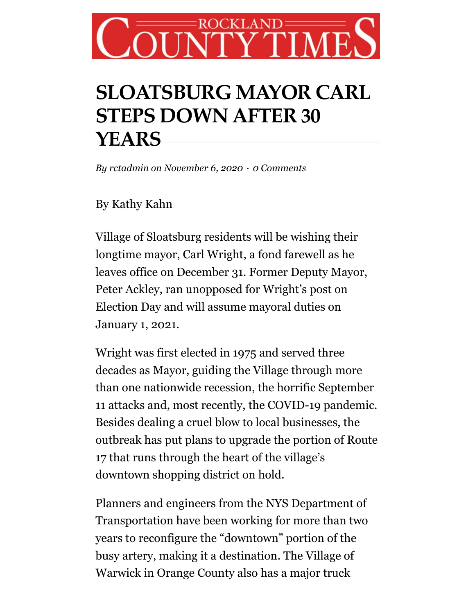## CKLANI **TMI**

## **SLOATSBURG MAYOR CARL STEPS DOWN AFTER 30 YEARS**

*By [rctadmin](https://www.rocklandtimes.com/author/rctadmin/) on November 6, 2020 · 0 Comments*

By Kathy Kahn

Village of Sloatsburg residents will be wishing their longtime mayor, Carl Wright, a fond farewell as he leaves office on December 31. Former Deputy Mayor, Peter Ackley, ran unopposed for Wright's post on Election Day and will assume mayoral duties on January 1, 2021.

Wright was first elected in 1975 and served three decades as Mayor, guiding the Village through more than one nationwide recession, the horrific September 11 attacks and, most recently, the COVID-19 pandemic. Besides dealing a cruel blow to local businesses, the outbreak has put plans to upgrade the portion of Route 17 that runs through the heart of the village's downtown shopping district on hold.

Planners and engineers from the NYS Department of Transportation have been working for more than two years to reconfigure the "downtown" portion of the busy artery, making it a destination. The Village of Warwick in Orange County also has a major truck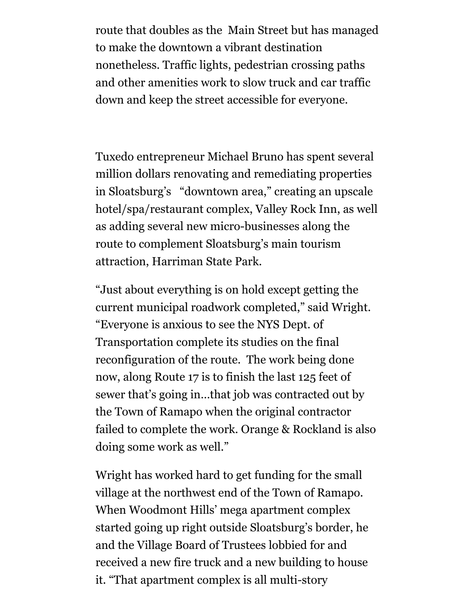route that doubles as the Main Street but has managed to make the downtown a vibrant destination nonetheless. Traffic lights, pedestrian crossing paths and other amenities work to slow truck and car traffic down and keep the street accessible for everyone.

Tuxedo entrepreneur Michael Bruno has spent several million dollars renovating and remediating properties in Sloatsburg's "downtown area," creating an upscale hotel/spa/restaurant complex, Valley Rock Inn, as well as adding several new micro-businesses along the route to complement Sloatsburg's main tourism attraction, Harriman State Park.

"Just about everything is on hold except getting the current municipal roadwork completed," said Wright. "Everyone is anxious to see the NYS Dept. of Transportation complete its studies on the final reconfiguration of the route. The work being done now, along Route 17 is to finish the last 125 feet of sewer that's going in…that job was contracted out by the Town of Ramapo when the original contractor failed to complete the work. Orange & Rockland is also doing some work as well."

Wright has worked hard to get funding for the small village at the northwest end of the Town of Ramapo. When Woodmont Hills' mega apartment complex started going up right outside Sloatsburg's border, he and the Village Board of Trustees lobbied for and received a new fire truck and a new building to house it. "That apartment complex is all multi-story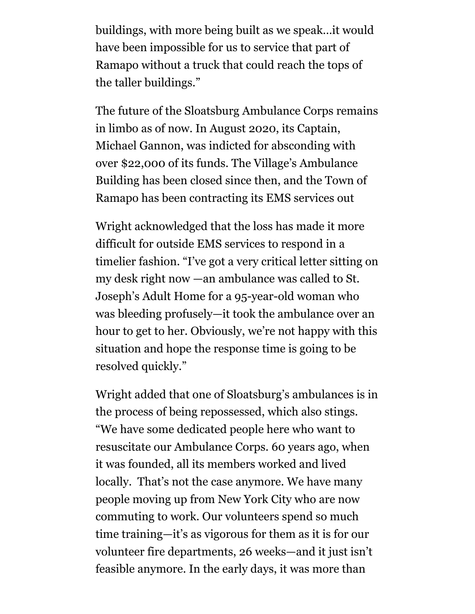buildings, with more being built as we speak…it would have been impossible for us to service that part of Ramapo without a truck that could reach the tops of the taller buildings."

The future of the Sloatsburg Ambulance Corps remains in limbo as of now. In August 2020, its Captain, Michael Gannon, was indicted for absconding with over \$22,000 of its funds. The Village's Ambulance Building has been closed since then, and the Town of Ramapo has been contracting its EMS services out

Wright acknowledged that the loss has made it more difficult for outside EMS services to respond in a timelier fashion. "I've got a very critical letter sitting on my desk right now —an ambulance was called to St. Joseph's Adult Home for a 95-year-old woman who was bleeding profusely—it took the ambulance over an hour to get to her. Obviously, we're not happy with this situation and hope the response time is going to be resolved quickly."

Wright added that one of Sloatsburg's ambulances is in the process of being repossessed, which also stings. "We have some dedicated people here who want to resuscitate our Ambulance Corps. 60 years ago, when it was founded, all its members worked and lived locally. That's not the case anymore. We have many people moving up from New York City who are now commuting to work. Our volunteers spend so much time training—it's as vigorous for them as it is for our volunteer fire departments, 26 weeks—and it just isn't feasible anymore. In the early days, it was more than